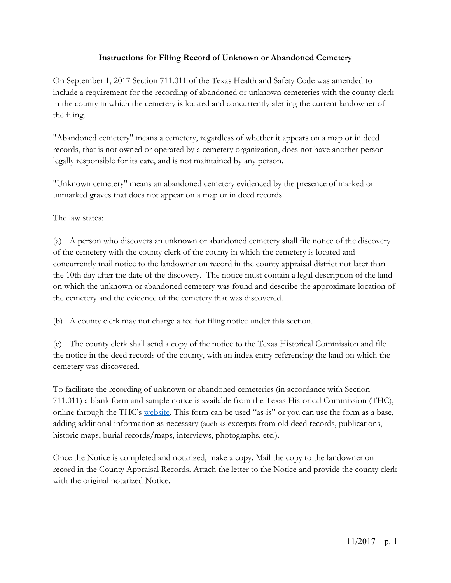### **Instructions for Filing Record of Unknown or Abandoned Cemetery**

On September 1, 2017 Section 711.011 of the Texas Health and Safety Code was amended to include a requirement for the recording of abandoned or unknown cemeteries with the county clerk in the county in which the cemetery is located and concurrently alerting the current landowner of the filing.

"Abandoned cemetery" means a cemetery, regardless of whether it appears on a map or in deed records, that is not owned or operated by a cemetery organization, does not have another person legally responsible for its care, and is not maintained by any person.

"Unknown cemetery" means an abandoned cemetery evidenced by the presence of marked or unmarked graves that does not appear on a map or in deed records.

The law states:

(a) A person who discovers an unknown or abandoned cemetery shall file notice of the discovery of the cemetery with the county clerk of the county in which the cemetery is located and concurrently mail notice to the landowner on record in the county appraisal district not later than the 10th day after the date of the discovery. The notice must contain a legal description of the land on which the unknown or abandoned cemetery was found and describe the approximate location of the cemetery and the evidence of the cemetery that was discovered.

(b) A county clerk may not charge a fee for filing notice under this section.

(c) The county clerk shall send a copy of the notice to the Texas Historical Commission and file the notice in the deed records of the county, with an index entry referencing the land on which the cemetery was discovered.

To facilitate the recording of unknown or abandoned cemeteries (in accordance with Section 711.011) a blank form and sample notice is available from the Texas Historical Commission (THC), online through the THC's website. This form can be used "as-is" or you can use the form as a base, adding additional information as necessary (such as excerpts from old deed records, publications, historic maps, burial records/maps, interviews, photographs, etc.).

Once the Notice is completed and notarized, make a copy. Mail the copy to the landowner on record in the County Appraisal Records. Attach the letter to the Notice and provide the county clerk with the original notarized Notice.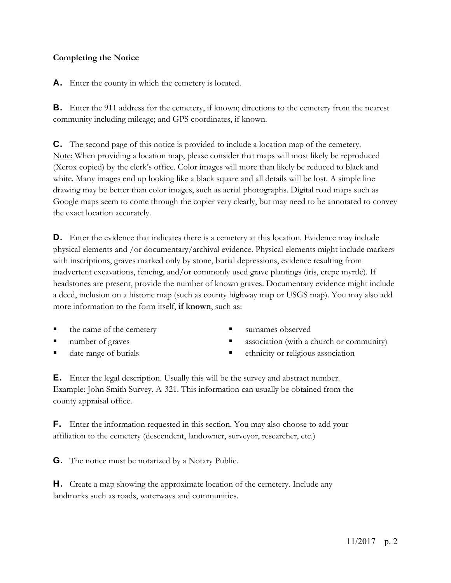### **Completing the Notice**

A. Enter the county in which the cemetery is located.

B. Enter the 911 address for the cemetery, if known; directions to the cemetery from the nearest community including mileage; and GPS coordinates, if known.

C. The second page of this notice is provided to include a location map of the cemetery. Note: When providing a location map, please consider that maps will most likely be reproduced (Xerox copied) by the clerk's office. Color images will more than likely be reduced to black and white. Many images end up looking like a black square and all details will be lost. A simple line drawing may be better than color images, such as aerial photographs. Digital road maps such as Google maps seem to come through the copier very clearly, but may need to be annotated to convey the exact location accurately.

D. Enter the evidence that indicates there is a cemetery at this location. Evidence may include physical elements and /or documentary/archival evidence. Physical elements might include markers with inscriptions, graves marked only by stone, burial depressions, evidence resulting from inadvertent excavations, fencing, and/or commonly used grave plantings (iris, crepe myrtle). If headstones are present, provide the number of known graves. Documentary evidence might include a deed, inclusion on a historic map (such as county highway map or USGS map). You may also add more information to the form itself, **if known**, such as:

- the name of the cemetery
- **number of graves**
- date range of burials
- **surnames observed**
- **association** (with a church or community)
- ethnicity or religious association

E. Enter the legal description. Usually this will be the survey and abstract number. Example: John Smith Survey, A-321. This information can usually be obtained from the county appraisal office.

F. Enter the information requested in this section. You may also choose to add your affiliation to the cemetery (descendent, landowner, surveyor, researcher, etc.)

G. The notice must be notarized by a Notary Public.

H. Create a map showing the approximate location of the cemetery. Include any landmarks such as roads, waterways and communities.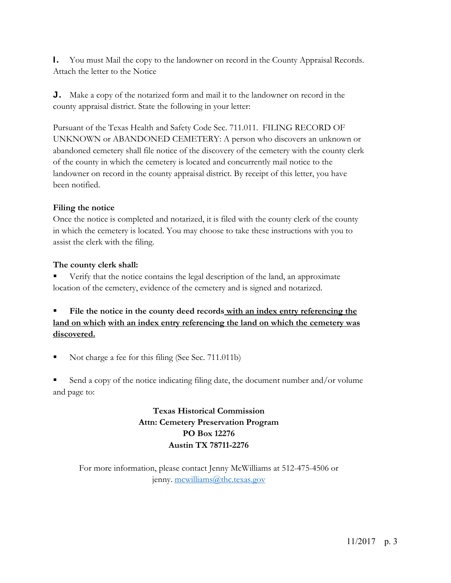I. You must Mail the copy to the landowner on record in the County Appraisal Records. Attach the letter to the Notice

J. Make a copy of the notarized form and mail it to the landowner on record in the county appraisal district. State the following in your letter:

Pursuant of the Texas Health and Safety Code Sec. 711.011. FILING RECORD OF UNKNOWN or ABANDONED CEMETERY: A person who discovers an unknown or abandoned cemetery shall file notice of the discovery of the cemetery with the county clerk of the county in which the cemetery is located and concurrently mail notice to the landowner on record in the county appraisal district. By receipt of this letter, you have been notified.

#### **Filing the notice**

Once the notice is completed and notarized, it is filed with the county clerk of the county in which the cemetery is located. You may choose to take these instructions with you to assist the clerk with the filing.

#### **The county clerk shall:**

 Verify that the notice contains the legal description of the land, an approximate location of the cemetery, evidence of the cemetery and is signed and notarized.

# **File the notice in the county deed records with an index entry referencing the land on which with an index entry referencing the land on which the cemetery was discovered.**

Not charge a fee for this filing (See Sec. 711.011b)

 Send a copy of the notice indicating filing date, the document number and/or volume and page to:

# **Texas Historical Commission Attn: Cemetery Preservation Program PO Box 12276 Austin TX 78711-2276**

For more information, please contact Jenny McWilliams at 512-475-4506 or jenny. mcwilliams@thc.texas.gov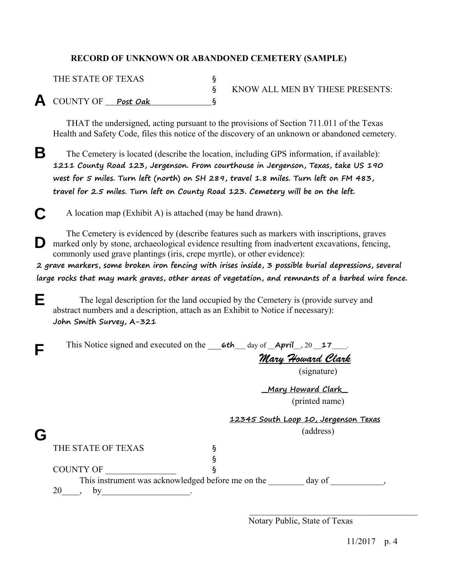## **RECORD OF UNKNOWN OR ABANDONED CEMETERY (SAMPLE)**

| THE STATE OF TEXAS   |                                 |
|----------------------|---------------------------------|
|                      | KNOW ALL MEN BY THESE PRESENTS: |
| A COUNTY OF Post Oak |                                 |

 THAT the undersigned, acting pursuant to the provisions of Section 711.011 of the Texas Health and Safety Code, files this notice of the discovery of an unknown or abandoned cemetery.

 The Cemetery is located (describe the location, including GPS information, if available): **1211 County Road 123, Jergenson. From courthouse in Jergenson, Texas, take US 190 west for 5 miles. Turn left (north) on SH 289, travel 1.8 miles. Turn left on FM 483, travel for 2.5 miles. Turn left on County Road 123. Cemetery will be on the left.**  B

 A location map (Exhibit A) is attached (may be hand drawn).  $\overline{C}$ 

 The Cemetery is evidenced by (describe features such as markers with inscriptions, graves D marked only by stone, archaeological evidence resulting from inadvertent excavations, fencing, commonly used grave plantings (iris, crepe myrtle), or other evidence):

**2 grave markers, some broken iron fencing with irises inside, 3 possible burial depressions, several large rocks that may mark graves, other areas of vegetation, and remnants of a barbed wire fence.** 

The legal description for the land occupied by the Cemetery is (provide survey and abstract numbers and a description, attach as an Exhibit to Notice if necessary): **John Smith Survey, A-321** 

|--|--|

*Mary Howard Clark* 

(signature)

**\_\_Mary Howard Clark\_\_**  (printed name)

**12345 South Loop 10, Jergenson Texas** 

(address)

THE STATE OF TEXAS **§** 

§

COUNTY OF  $\S$ This instrument was acknowledged before me on the day of \_\_\_\_\_\_\_\_\_\_,

20\_\_\_\_, by\_\_\_\_\_\_\_\_\_\_\_\_\_\_\_\_\_\_\_.

E

G

 $\mathcal{L}_\text{max}$  and  $\mathcal{L}_\text{max}$  and  $\mathcal{L}_\text{max}$  and  $\mathcal{L}_\text{max}$  and  $\mathcal{L}_\text{max}$  and  $\mathcal{L}_\text{max}$ Notary Public, State of Texas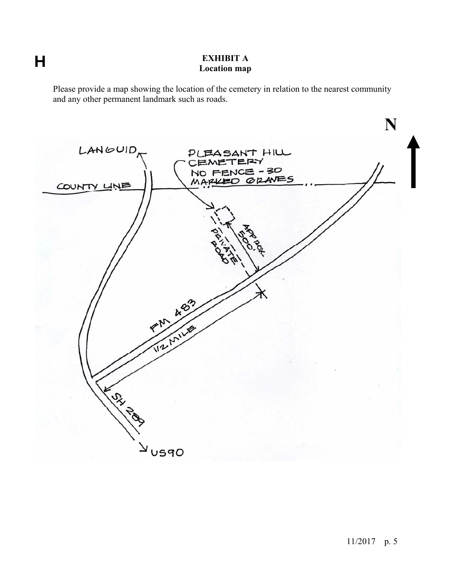# $\overline{H}$

## **EXHIBIT A Location map**

Please provide a map showing the location of the cemetery in relation to the nearest community and any other permanent landmark such as roads.